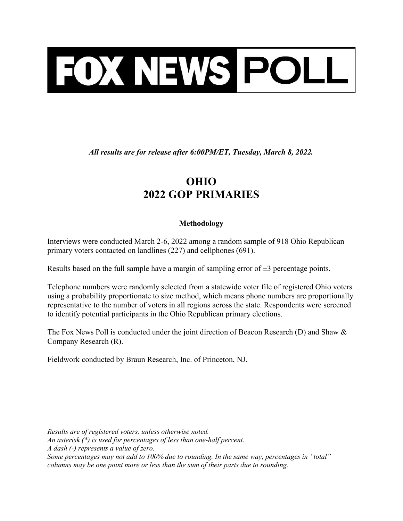

All results are for release after 6:00PM/ET, Tuesday, March 8, 2022.

## OHIO 2022 GOP PRIMARIES

## Methodology

Interviews were conducted March 2-6, 2022 among a random sample of 918 Ohio Republican primary voters contacted on landlines (227) and cellphones (691).

Results based on the full sample have a margin of sampling error of  $\pm 3$  percentage points.

Telephone numbers were randomly selected from a statewide voter file of registered Ohio voters using a probability proportionate to size method, which means phone numbers are proportionally representative to the number of voters in all regions across the state. Respondents were screened to identify potential participants in the Ohio Republican primary elections.

The Fox News Poll is conducted under the joint direction of Beacon Research (D) and Shaw & Company Research (R).

Fieldwork conducted by Braun Research, Inc. of Princeton, NJ.

Results are of registered voters, unless otherwise noted. An asterisk (\*) is used for percentages of less than one-half percent. A dash (-) represents a value of zero. Some percentages may not add to 100% due to rounding. In the same way, percentages in "total" columns may be one point more or less than the sum of their parts due to rounding.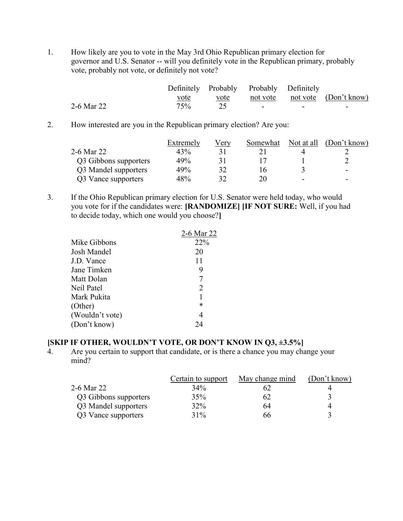1. How likely are you to vote in the May 3rd Ohio Republican primary election for governor and U.S. Senator -- will you definitely vote in the Republican primary, probably vote, probably not vote, or definitely not vote?

|            |              |             | Definitely Probably Probably Definitely |   |                       |
|------------|--------------|-------------|-----------------------------------------|---|-----------------------|
|            | vote<br>____ | <u>vote</u> | not vote                                |   | not vote (Don't know) |
| 2-6 Mar 22 | 75%          |             |                                         | - | -                     |

2. How interested are you in the Republican primary election? Are you:

|                       | Extremely | Very | Somewhat | Not at all | (Don't know) |
|-----------------------|-----------|------|----------|------------|--------------|
| 2-6 Mar 22            | 43%       |      |          |            |              |
| Q3 Gibbons supporters | 49%       |      |          |            |              |
| Q3 Mandel supporters  | 49%       | 32   |          |            | -            |
| Q3 Vance supporters   | 48%       | 32   | 20       | -          | -            |

3. If the Ohio Republican primary election for U.S. Senator were held today, who would you vote for if the candidates were: [RANDOMIZE] [IF NOT SURE: Well, if you had to decide today, which one would you choose?]

|                 | 2-6 Mar 22 |
|-----------------|------------|
| Mike Gibbons    | 22%        |
| Josh Mandel     | 20         |
| J.D. Vance      | 11         |
| Jane Timken     | 9          |
| Matt Dolan      |            |
| Neil Patel      | 2          |
| Mark Pukita     |            |
| (Other)         | *          |
| (Wouldn't vote) | 4          |
| (Don't know)    | 24         |
|                 |            |

## [SKIP IF OTHER, WOULDN'T VOTE, OR DON'T KNOW IN Q3, ±3.5%]

4. Are you certain to support that candidate, or is there a chance you may change your mind?

|                       | Certain to support | May change mind | (Don't know) |
|-----------------------|--------------------|-----------------|--------------|
| 2-6 Mar 22            | 34%                |                 |              |
| Q3 Gibbons supporters | 35%                | 62              |              |
| Q3 Mandel supporters  | 32%                | 64              |              |
| Q3 Vance supporters   | 31%                | 66.             |              |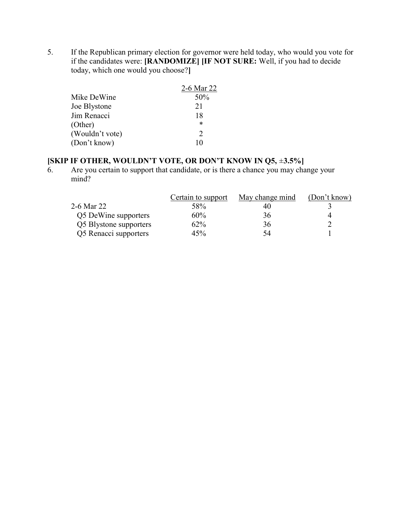5. If the Republican primary election for governor were held today, who would you vote for if the candidates were: [RANDOMIZE] [IF NOT SURE: Well, if you had to decide today, which one would you choose?]

|                 | 2-6 Mar 22                  |
|-----------------|-----------------------------|
| Mike DeWine     | 50%                         |
| Joe Blystone    | 21                          |
| Jim Renacci     | 18                          |
| (Other)         | $\ast$                      |
| (Wouldn't vote) | $\mathcal{D}_{\mathcal{L}}$ |
| (Don't know)    | 10                          |
|                 |                             |

## [SKIP IF OTHER, WOULDN'T VOTE, OR DON'T KNOW IN Q5, ±3.5%]

6. Are you certain to support that candidate, or is there a chance you may change your mind?

|                        | Certain to support | May change mind | (Don't know) |
|------------------------|--------------------|-----------------|--------------|
| 2-6 Mar 22             | 58%                | 40              |              |
| Q5 DeWine supporters   | 60%                | 36              |              |
| Q5 Blystone supporters | 62%                | 36              |              |
| Q5 Renacci supporters  | 45%                | 54              |              |